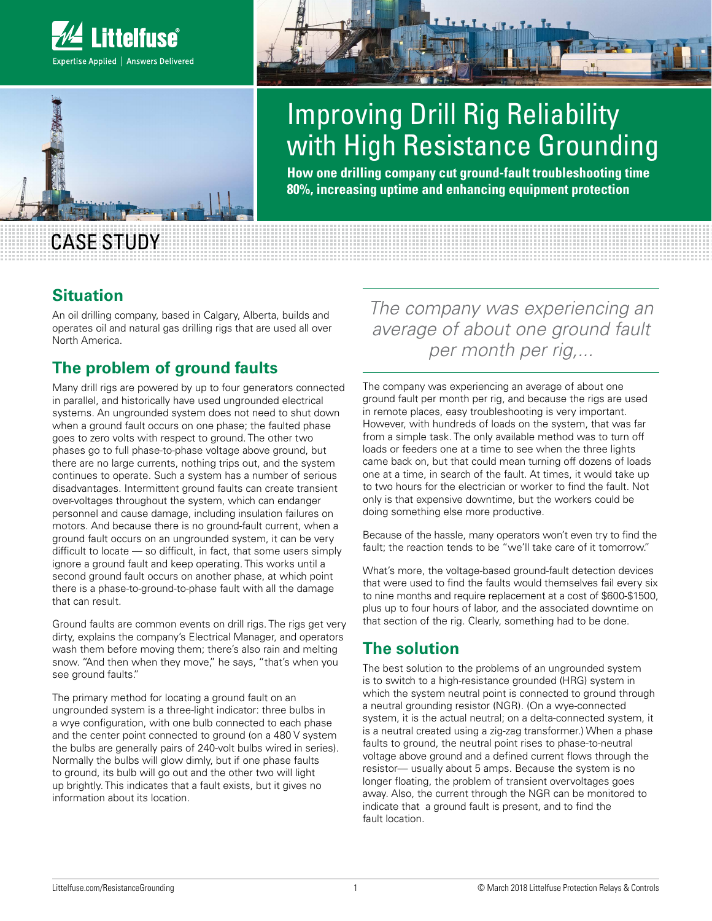



# Improving Drill Rig Reliability with High Resistance Grounding

**How one drilling company cut ground-fault troubleshooting time 80%, increasing uptime and enhancing equipment protection**

# CASE STUDY

#### **Situation**

An oil drilling company, based in Calgary, Alberta, builds and operates oil and natural gas drilling rigs that are used all over North America.

## **The problem of ground faults**

Many drill rigs are powered by up to four generators connected in parallel, and historically have used ungrounded electrical systems. An ungrounded system does not need to shut down when a ground fault occurs on one phase; the faulted phase goes to zero volts with respect to ground. The other two phases go to full phase-to-phase voltage above ground, but there are no large currents, nothing trips out, and the system continues to operate. Such a system has a number of serious disadvantages. Intermittent ground faults can create transient over-voltages throughout the system, which can endanger personnel and cause damage, including insulation failures on motors. And because there is no ground-fault current, when a ground fault occurs on an ungrounded system, it can be very difficult to locate — so difficult, in fact, that some users simply ignore a ground fault and keep operating. This works until a second ground fault occurs on another phase, at which point there is a phase-to-ground-to-phase fault with all the damage that can result.

Ground faults are common events on drill rigs. The rigs get very dirty, explains the company's Electrical Manager, and operators wash them before moving them; there's also rain and melting snow. "And then when they move," he says, "that's when you see ground faults."

The primary method for locating a ground fault on an ungrounded system is a three-light indicator: three bulbs in a wye configuration, with one bulb connected to each phase and the center point connected to ground (on a 480 V system the bulbs are generally pairs of 240-volt bulbs wired in series). Normally the bulbs will glow dimly, but if one phase faults to ground, its bulb will go out and the other two will light up brightly. This indicates that a fault exists, but it gives no information about its location.

*The company was experiencing an average of about one ground fault per month per rig,...* 

The company was experiencing an average of about one ground fault per month per rig, and because the rigs are used in remote places, easy troubleshooting is very important. However, with hundreds of loads on the system, that was far from a simple task. The only available method was to turn off loads or feeders one at a time to see when the three lights came back on, but that could mean turning off dozens of loads one at a time, in search of the fault. At times, it would take up to two hours for the electrician or worker to find the fault. Not only is that expensive downtime, but the workers could be doing something else more productive.

Because of the hassle, many operators won't even try to find the fault; the reaction tends to be "we'll take care of it tomorrow."

What's more, the voltage-based ground-fault detection devices that were used to find the faults would themselves fail every six to nine months and require replacement at a cost of \$600-\$1500, plus up to four hours of labor, and the associated downtime on that section of the rig. Clearly, something had to be done.

### **The solution**

The best solution to the problems of an ungrounded system is to switch to a high-resistance grounded (HRG) system in which the system neutral point is connected to ground through a neutral grounding resistor (NGR). (On a wye-connected system, it is the actual neutral; on a delta-connected system, it is a neutral created using a zig-zag transformer.) When a phase faults to ground, the neutral point rises to phase-to-neutral voltage above ground and a defined current flows through the resistor— usually about 5 amps. Because the system is no longer floating, the problem of transient overvoltages goes away. Also, the current through the NGR can be monitored to indicate that a ground fault is present, and to find the fault location.